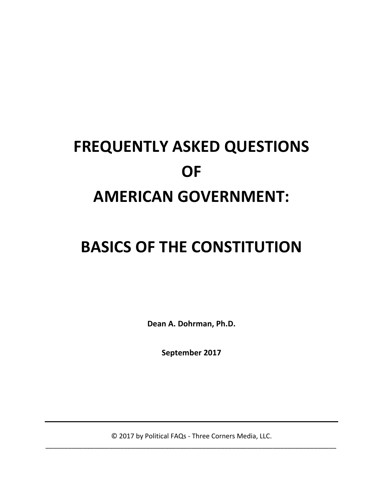# **FREQUENTLY ASKED QUESTIONS OF AMERICAN GOVERNMENT:**

## **BASICS OF THE CONSTITUTION**

**Dean A. Dohrman, Ph.D.**

**September 2017**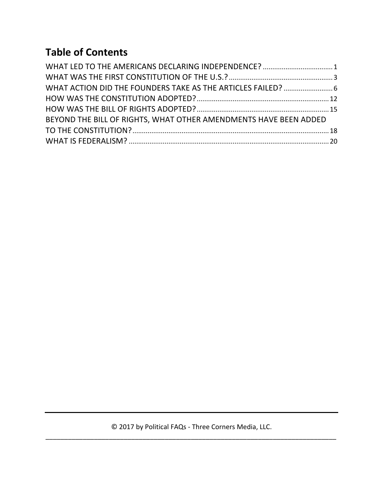### **Table of Contents**

| WHAT LED TO THE AMERICANS DECLARING INDEPENDENCE?  1             |  |
|------------------------------------------------------------------|--|
|                                                                  |  |
|                                                                  |  |
|                                                                  |  |
|                                                                  |  |
| BEYOND THE BILL OF RIGHTS, WHAT OTHER AMENDMENTS HAVE BEEN ADDED |  |
|                                                                  |  |
|                                                                  |  |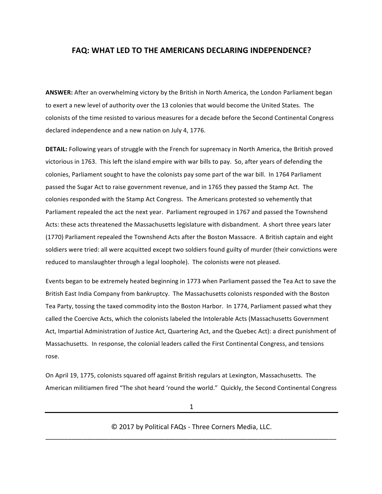#### **FAQ: WHAT LED TO THE AMERICANS DECLARING INDEPENDENCE?**

ANSWER: After an overwhelming victory by the British in North America, the London Parliament began to exert a new level of authority over the 13 colonies that would become the United States. The colonists of the time resisted to various measures for a decade before the Second Continental Congress declared independence and a new nation on July 4, 1776.

**DETAIL:** Following years of struggle with the French for supremacy in North America, the British proved victorious in 1763. This left the island empire with war bills to pay. So, after years of defending the colonies, Parliament sought to have the colonists pay some part of the war bill. In 1764 Parliament passed the Sugar Act to raise government revenue, and in 1765 they passed the Stamp Act. The colonies responded with the Stamp Act Congress. The Americans protested so vehemently that Parliament repealed the act the next year. Parliament regrouped in 1767 and passed the Townshend Acts: these acts threatened the Massachusetts legislature with disbandment. A short three years later (1770) Parliament repealed the Townshend Acts after the Boston Massacre. A British captain and eight soldiers were tried: all were acquitted except two soldiers found guilty of murder (their convictions were reduced to manslaughter through a legal loophole). The colonists were not pleased.

Events began to be extremely heated beginning in 1773 when Parliament passed the Tea Act to save the British East India Company from bankruptcy. The Massachusetts colonists responded with the Boston Tea Party, tossing the taxed commodity into the Boston Harbor. In 1774, Parliament passed what they called the Coercive Acts, which the colonists labeled the Intolerable Acts (Massachusetts Government Act, Impartial Administration of Justice Act, Quartering Act, and the Quebec Act): a direct punishment of Massachusetts. In response, the colonial leaders called the First Continental Congress, and tensions rose.

On April 19, 1775, colonists squared off against British regulars at Lexington, Massachusetts. The American militiamen fired "The shot heard 'round the world." Quickly, the Second Continental Congress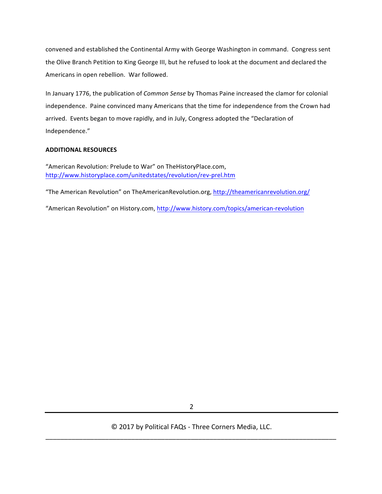convened and established the Continental Army with George Washington in command. Congress sent the Olive Branch Petition to King George III, but he refused to look at the document and declared the Americans in open rebellion. War followed.

In January 1776, the publication of *Common Sense* by Thomas Paine increased the clamor for colonial independence. Paine convinced many Americans that the time for independence from the Crown had arrived. Events began to move rapidly, and in July, Congress adopted the "Declaration of Independence."

#### **ADDITIONAL RESOURCES**

"American Revolution: Prelude to War" on TheHistoryPlace.com, http://www.historyplace.com/unitedstates/revolution/rev-prel.htm

"The American Revolution" on TheAmericanRevolution.org, http://theamericanrevolution.org/

"American Revolution" on History.com, http://www.history.com/topics/american-revolution

2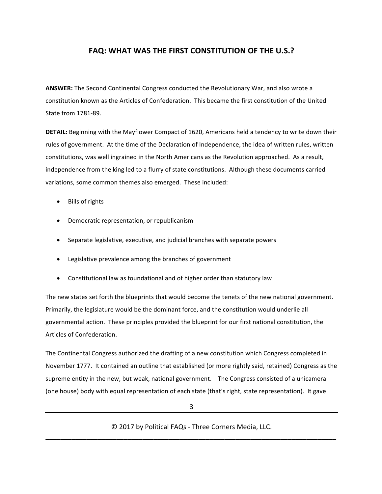#### **FAQ: WHAT WAS THE FIRST CONSTITUTION OF THE U.S.?**

ANSWER: The Second Continental Congress conducted the Revolutionary War, and also wrote a constitution known as the Articles of Confederation. This became the first constitution of the United State from 1781-89.

**DETAIL:** Beginning with the Mayflower Compact of 1620, Americans held a tendency to write down their rules of government. At the time of the Declaration of Independence, the idea of written rules, written constitutions, was well ingrained in the North Americans as the Revolution approached. As a result, independence from the king led to a flurry of state constitutions. Although these documents carried variations, some common themes also emerged. These included:

- Bills of rights
- Democratic representation, or republicanism
- Separate legislative, executive, and judicial branches with separate powers
- Legislative prevalence among the branches of government
- Constitutional law as foundational and of higher order than statutory law

The new states set forth the blueprints that would become the tenets of the new national government. Primarily, the legislature would be the dominant force, and the constitution would underlie all governmental action. These principles provided the blueprint for our first national constitution, the Articles of Confederation.

The Continental Congress authorized the drafting of a new constitution which Congress completed in November 1777. It contained an outline that established (or more rightly said, retained) Congress as the supreme entity in the new, but weak, national government. The Congress consisted of a unicameral (one house) body with equal representation of each state (that's right, state representation). It gave

3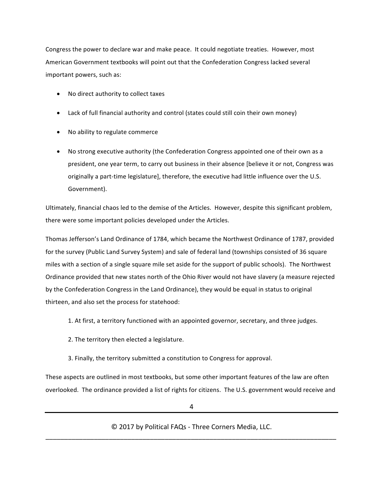Congress the power to declare war and make peace. It could negotiate treaties. However, most American Government textbooks will point out that the Confederation Congress lacked several important powers, such as:

- No direct authority to collect taxes
- Lack of full financial authority and control (states could still coin their own money)
- No ability to regulate commerce
- No strong executive authority (the Confederation Congress appointed one of their own as a president, one year term, to carry out business in their absence [believe it or not, Congress was originally a part-time legislature], therefore, the executive had little influence over the U.S. Government).

Ultimately, financial chaos led to the demise of the Articles. However, despite this significant problem, there were some important policies developed under the Articles.

Thomas Jefferson's Land Ordinance of 1784, which became the Northwest Ordinance of 1787, provided for the survey (Public Land Survey System) and sale of federal land (townships consisted of 36 square miles with a section of a single square mile set aside for the support of public schools). The Northwest Ordinance provided that new states north of the Ohio River would not have slavery (a measure rejected by the Confederation Congress in the Land Ordinance), they would be equal in status to original thirteen, and also set the process for statehood:

1. At first, a territory functioned with an appointed governor, secretary, and three judges.

- 2. The territory then elected a legislature.
- 3. Finally, the territory submitted a constitution to Congress for approval.

These aspects are outlined in most textbooks, but some other important features of the law are often overlooked. The ordinance provided a list of rights for citizens. The U.S. government would receive and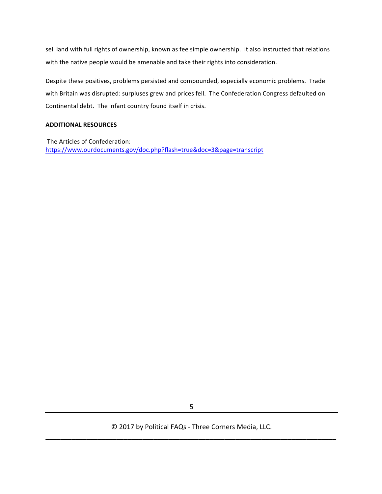sell land with full rights of ownership, known as fee simple ownership. It also instructed that relations with the native people would be amenable and take their rights into consideration.

Despite these positives, problems persisted and compounded, especially economic problems. Trade with Britain was disrupted: surpluses grew and prices fell. The Confederation Congress defaulted on Continental debt. The infant country found itself in crisis.

#### **ADDITIONAL RESOURCES**

The Articles of Confederation: https://www.ourdocuments.gov/doc.php?flash=true&doc=3&page=transcript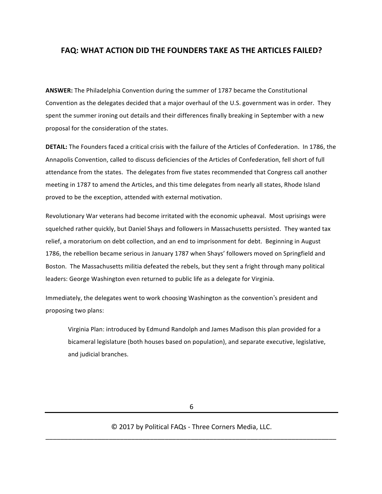#### **FAQ: WHAT ACTION DID THE FOUNDERS TAKE AS THE ARTICLES FAILED?**

**ANSWER:** The Philadelphia Convention during the summer of 1787 became the Constitutional Convention as the delegates decided that a major overhaul of the U.S. government was in order. They spent the summer ironing out details and their differences finally breaking in September with a new proposal for the consideration of the states.

**DETAIL:** The Founders faced a critical crisis with the failure of the Articles of Confederation. In 1786, the Annapolis Convention, called to discuss deficiencies of the Articles of Confederation, fell short of full attendance from the states. The delegates from five states recommended that Congress call another meeting in 1787 to amend the Articles, and this time delegates from nearly all states, Rhode Island proved to be the exception, attended with external motivation.

Revolutionary War veterans had become irritated with the economic upheaval. Most uprisings were squelched rather quickly, but Daniel Shays and followers in Massachusetts persisted. They wanted tax relief, a moratorium on debt collection, and an end to imprisonment for debt. Beginning in August 1786, the rebellion became serious in January 1787 when Shays' followers moved on Springfield and Boston. The Massachusetts militia defeated the rebels, but they sent a fright through many political leaders: George Washington even returned to public life as a delegate for Virginia.

Immediately, the delegates went to work choosing Washington as the convention's president and proposing two plans:

Virginia Plan: introduced by Edmund Randolph and James Madison this plan provided for a bicameral legislature (both houses based on population), and separate executive, legislative, and judicial branches.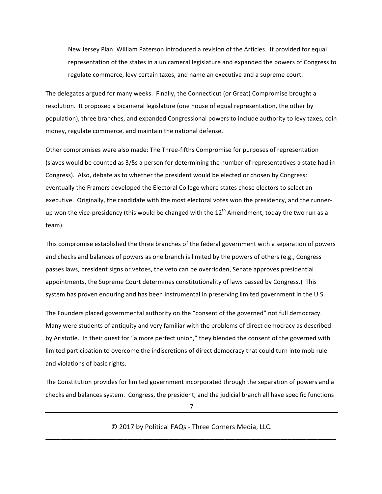New Jersey Plan: William Paterson introduced a revision of the Articles. It provided for equal representation of the states in a unicameral legislature and expanded the powers of Congress to regulate commerce, levy certain taxes, and name an executive and a supreme court.

The delegates argued for many weeks. Finally, the Connecticut (or Great) Compromise brought a resolution. It proposed a bicameral legislature (one house of equal representation, the other by population), three branches, and expanded Congressional powers to include authority to levy taxes, coin money, regulate commerce, and maintain the national defense.

Other compromises were also made: The Three-fifths Compromise for purposes of representation (slaves would be counted as 3/5s a person for determining the number of representatives a state had in Congress). Also, debate as to whether the president would be elected or chosen by Congress: eventually the Framers developed the Electoral College where states chose electors to select an executive. Originally, the candidate with the most electoral votes won the presidency, and the runnerup won the vice-presidency (this would be changed with the  $12^{\text{th}}$  Amendment, today the two run as a team).

This compromise established the three branches of the federal government with a separation of powers and checks and balances of powers as one branch is limited by the powers of others (e.g., Congress passes laws, president signs or vetoes, the veto can be overridden, Senate approves presidential appointments, the Supreme Court determines constitutionality of laws passed by Congress.) This system has proven enduring and has been instrumental in preserving limited government in the U.S.

The Founders placed governmental authority on the "consent of the governed" not full democracy. Many were students of antiquity and very familiar with the problems of direct democracy as described by Aristotle. In their quest for "a more perfect union," they blended the consent of the governed with limited participation to overcome the indiscretions of direct democracy that could turn into mob rule and violations of basic rights.

The Constitution provides for limited government incorporated through the separation of powers and a checks and balances system. Congress, the president, and the judicial branch all have specific functions

7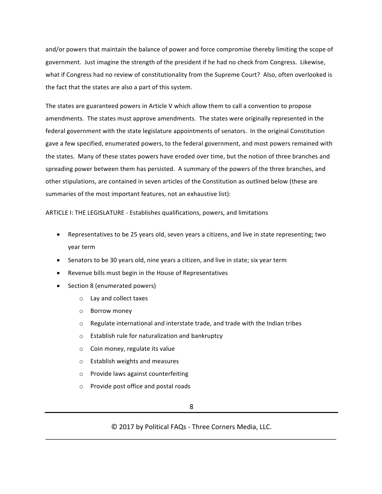and/or powers that maintain the balance of power and force compromise thereby limiting the scope of government. Just imagine the strength of the president if he had no check from Congress. Likewise, what if Congress had no review of constitutionality from the Supreme Court? Also, often overlooked is the fact that the states are also a part of this system.

The states are guaranteed powers in Article V which allow them to call a convention to propose amendments. The states must approve amendments. The states were originally represented in the federal government with the state legislature appointments of senators. In the original Constitution gave a few specified, enumerated powers, to the federal government, and most powers remained with the states. Many of these states powers have eroded over time, but the notion of three branches and spreading power between them has persisted. A summary of the powers of the three branches, and other stipulations, are contained in seven articles of the Constitution as outlined below (these are summaries of the most important features, not an exhaustive list):

ARTICLE I: THE LEGISLATURE - Establishes qualifications, powers, and limitations

- Representatives to be 25 years old, seven years a citizens, and live in state representing; two year term
- Senators to be 30 years old, nine years a citizen, and live in state; six year term
- Revenue bills must begin in the House of Representatives
- Section 8 (enumerated powers)
	- o Lay and collect taxes
	- o Borrow money
	- $\circ$  Regulate international and interstate trade, and trade with the Indian tribes
	- $\circ$  Establish rule for naturalization and bankruptcy
	- $\circ$  Coin money, regulate its value
	- $\circ$  Establish weights and measures
	- o Provide laws against counterfeiting
	- $\circ$  Provide post office and postal roads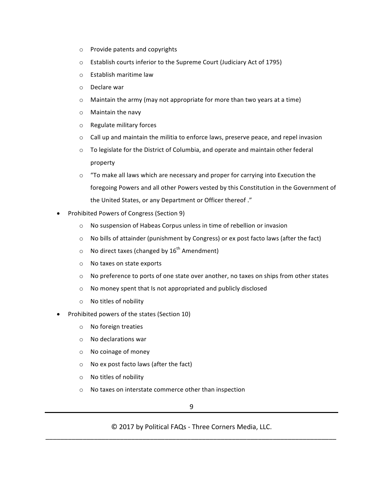- $\circ$  Provide patents and copyrights
- o Establish courts inferior to the Supreme Court (Judiciary Act of 1795)
- $\circ$  Establish maritime law
- $\circ$  Declare war
- $\circ$  Maintain the army (may not appropriate for more than two years at a time)
- $\circ$  Maintain the navy
- $\circ$  Regulate military forces
- $\circ$  Call up and maintain the militia to enforce laws, preserve peace, and repel invasion
- $\circ$  To legislate for the District of Columbia, and operate and maintain other federal property
- $\circ$  "To make all laws which are necessary and proper for carrying into Execution the foregoing Powers and all other Powers vested by this Constitution in the Government of the United States, or any Department or Officer thereof."
- Prohibited Powers of Congress (Section 9)
	- o No suspension of Habeas Corpus unless in time of rebellion or invasion
	- $\circ$  No bills of attainder (punishment by Congress) or ex post facto laws (after the fact)
	- $\circ$  No direct taxes (changed by  $16^{th}$  Amendment)
	- o No taxes on state exports
	- $\circ$  No preference to ports of one state over another, no taxes on ships from other states
	- $\circ$  No money spent that Is not appropriated and publicly disclosed
	- $\circ$  No titles of nobility
- Prohibited powers of the states (Section 10)
	- $\circ$  No foreign treaties
	- $\circ$  No declarations war
	- $\circ$  No coinage of money
	- $\circ$  No ex post facto laws (after the fact)
	- $\circ$  No titles of nobility
	- $\circ$  No taxes on interstate commerce other than inspection

9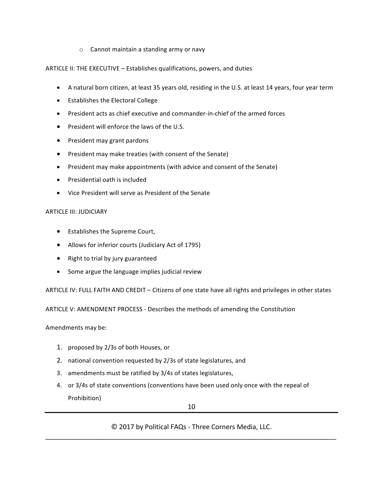$\circ$  Cannot maintain a standing army or navy

#### ARTICLE II: THE EXECUTIVE – Establishes qualifications, powers, and duties

- A natural born citizen, at least 35 years old, residing in the U.S. at least 14 years, four year term
- Establishes the Electoral College
- President acts as chief executive and commander-in-chief of the armed forces
- President will enforce the laws of the U.S.
- President may grant pardons
- President may make treaties (with consent of the Senate)
- President may make appointments (with advice and consent of the Senate)
- $\bullet$  Presidential oath is included
- Vice President will serve as President of the Senate

#### ARTICLE III: JUDICIARY

- Establishes the Supreme Court,
- Allows for inferior courts (Judiciary Act of 1795)
- Right to trial by jury guaranteed
- Some argue the language implies judicial review

ARTICLE IV: FULL FAITH AND CREDIT – Citizens of one state have all rights and privileges in other states

ARTICLE V: AMENDMENT PROCESS - Describes the methods of amending the Constitution

Amendments may be:

- 1. proposed by 2/3s of both Houses, or
- 2. national convention requested by 2/3s of state legislatures, and
- 3. amendments must be ratified by 3/4s of states legislatures,
- 4. or 3/4s of state conventions (conventions have been used only once with the repeal of Prohibition)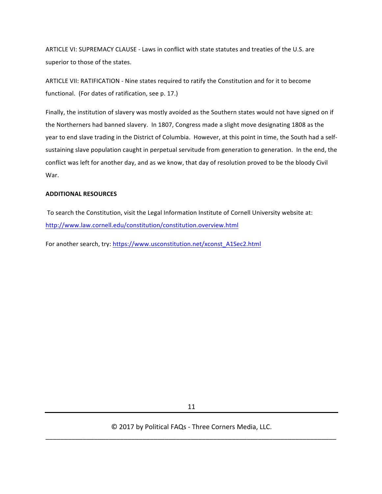ARTICLE VI: SUPREMACY CLAUSE - Laws in conflict with state statutes and treaties of the U.S. are superior to those of the states.

ARTICLE VII: RATIFICATION - Nine states required to ratify the Constitution and for it to become functional. (For dates of ratification, see p. 17.)

Finally, the institution of slavery was mostly avoided as the Southern states would not have signed on if the Northerners had banned slavery. In 1807, Congress made a slight move designating 1808 as the year to end slave trading in the District of Columbia. However, at this point in time, the South had a selfsustaining slave population caught in perpetual servitude from generation to generation. In the end, the conflict was left for another day, and as we know, that day of resolution proved to be the bloody Civil War.

#### **ADDITIONAL RESOURCES**

To search the Constitution, visit the Legal Information Institute of Cornell University website at: http://www.law.cornell.edu/constitution/constitution.overview.html

For another search, try: https://www.usconstitution.net/xconst\_A1Sec2.html

11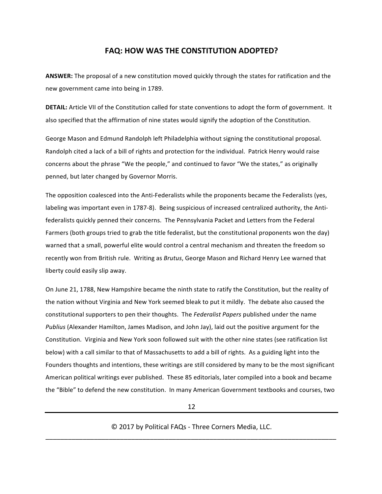#### **FAQ: HOW WAS THE CONSTITUTION ADOPTED?**

**ANSWER:** The proposal of a new constitution moved quickly through the states for ratification and the new government came into being in 1789.

**DETAIL:** Article VII of the Constitution called for state conventions to adopt the form of government. It also specified that the affirmation of nine states would signify the adoption of the Constitution.

George Mason and Edmund Randolph left Philadelphia without signing the constitutional proposal. Randolph cited a lack of a bill of rights and protection for the individual. Patrick Henry would raise concerns about the phrase "We the people," and continued to favor "We the states," as originally penned, but later changed by Governor Morris.

The opposition coalesced into the Anti-Federalists while the proponents became the Federalists (yes, labeling was important even in 1787-8). Being suspicious of increased centralized authority, the Antifederalists quickly penned their concerns. The Pennsylvania Packet and Letters from the Federal Farmers (both groups tried to grab the title federalist, but the constitutional proponents won the day) warned that a small, powerful elite would control a central mechanism and threaten the freedom so recently won from British rule. Writing as *Brutus*, George Mason and Richard Henry Lee warned that liberty could easily slip away.

On June 21, 1788, New Hampshire became the ninth state to ratify the Constitution, but the reality of the nation without Virginia and New York seemed bleak to put it mildly. The debate also caused the constitutional supporters to pen their thoughts. The *Federalist Papers* published under the name *Publius* (Alexander Hamilton, James Madison, and John Jay), laid out the positive argument for the Constitution. Virginia and New York soon followed suit with the other nine states (see ratification list below) with a call similar to that of Massachusetts to add a bill of rights. As a guiding light into the Founders thoughts and intentions, these writings are still considered by many to be the most significant American political writings ever published. These 85 editorials, later compiled into a book and became the "Bible" to defend the new constitution. In many American Government textbooks and courses, two

12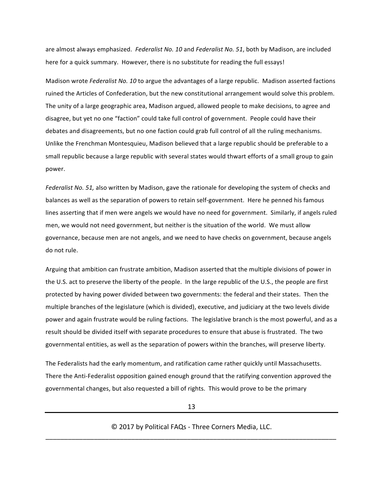are almost always emphasized. Federalist No. 10 and Federalist No. 51, both by Madison, are included here for a quick summary. However, there is no substitute for reading the full essays!

Madison wrote *Federalist No. 10* to argue the advantages of a large republic. Madison asserted factions ruined the Articles of Confederation, but the new constitutional arrangement would solve this problem. The unity of a large geographic area, Madison argued, allowed people to make decisions, to agree and disagree, but yet no one "faction" could take full control of government. People could have their debates and disagreements, but no one faction could grab full control of all the ruling mechanisms. Unlike the Frenchman Montesquieu, Madison believed that a large republic should be preferable to a small republic because a large republic with several states would thwart efforts of a small group to gain power.

*Federalist No.* 51, also written by Madison, gave the rationale for developing the system of checks and balances as well as the separation of powers to retain self-government. Here he penned his famous lines asserting that if men were angels we would have no need for government. Similarly, if angels ruled men, we would not need government, but neither is the situation of the world. We must allow governance, because men are not angels, and we need to have checks on government, because angels do not rule.

Arguing that ambition can frustrate ambition, Madison asserted that the multiple divisions of power in the U.S. act to preserve the liberty of the people. In the large republic of the U.S., the people are first protected by having power divided between two governments: the federal and their states. Then the multiple branches of the legislature (which is divided), executive, and judiciary at the two levels divide power and again frustrate would be ruling factions. The legislative branch is the most powerful, and as a result should be divided itself with separate procedures to ensure that abuse is frustrated. The two governmental entities, as well as the separation of powers within the branches, will preserve liberty.

The Federalists had the early momentum, and ratification came rather quickly until Massachusetts. There the Anti-Federalist opposition gained enough ground that the ratifying convention approved the governmental changes, but also requested a bill of rights. This would prove to be the primary

13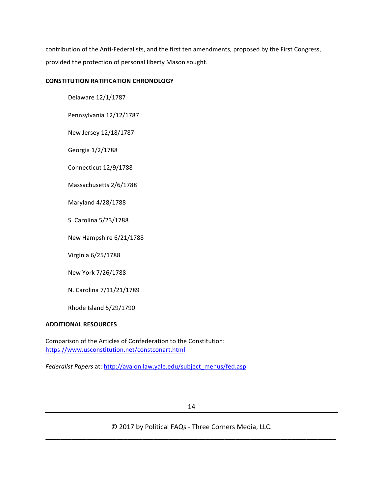contribution of the Anti-Federalists, and the first ten amendments, proposed by the First Congress, provided the protection of personal liberty Mason sought.

#### **CONSTITUTION RATIFICATION CHRONOLOGY**

Delaware 12/1/1787

Pennsylvania 12/12/1787

New Jersey 12/18/1787

Georgia 1/2/1788

Connecticut 12/9/1788

Massachusetts 2/6/1788

Maryland 4/28/1788

S. Carolina 5/23/1788

New Hampshire 6/21/1788

Virginia 6/25/1788

New York 7/26/1788

N. Carolina 7/11/21/1789

Rhode Island 5/29/1790

#### **ADDITIONAL RESOURCES**

Comparison of the Articles of Confederation to the Constitution: https://www.usconstitution.net/constconart.html

Federalist Papers at: http://avalon.law.yale.edu/subject\_menus/fed.asp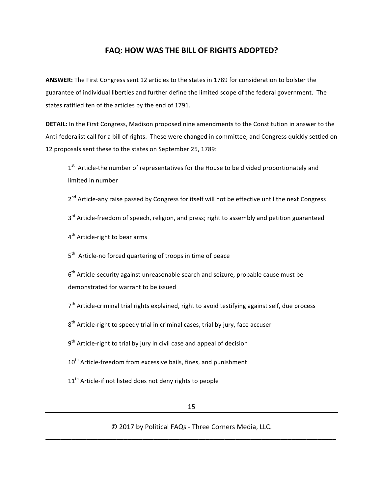#### **FAQ: HOW WAS THE BILL OF RIGHTS ADOPTED?**

ANSWER: The First Congress sent 12 articles to the states in 1789 for consideration to bolster the guarantee of individual liberties and further define the limited scope of the federal government. The states ratified ten of the articles by the end of 1791.

**DETAIL:** In the First Congress, Madison proposed nine amendments to the Constitution in answer to the Anti-federalist call for a bill of rights. These were changed in committee, and Congress quickly settled on 12 proposals sent these to the states on September 25, 1789:

 $1<sup>st</sup>$  Article-the number of representatives for the House to be divided proportionately and limited in number

2<sup>nd</sup> Article-any raise passed by Congress for itself will not be effective until the next Congress

 $3<sup>rd</sup>$  Article-freedom of speech, religion, and press; right to assembly and petition guaranteed

4<sup>th</sup> Article-right to bear arms

 $5<sup>th</sup>$  Article-no forced quartering of troops in time of peace

 $6<sup>th</sup>$  Article-security against unreasonable search and seizure, probable cause must be demonstrated for warrant to be issued

 $7<sup>th</sup>$  Article-criminal trial rights explained, right to avoid testifying against self, due process

 $8<sup>th</sup>$  Article-right to speedy trial in criminal cases, trial by jury, face accuser

- $9<sup>th</sup>$  Article-right to trial by jury in civil case and appeal of decision
- 10<sup>th</sup> Article-freedom from excessive bails, fines, and punishment
- $11<sup>th</sup>$  Article-if not listed does not deny rights to people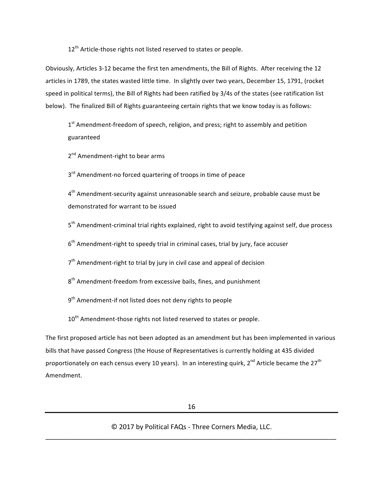$12<sup>th</sup>$  Article-those rights not listed reserved to states or people.

Obviously, Articles 3-12 became the first ten amendments, the Bill of Rights. After receiving the 12 articles in 1789, the states wasted little time. In slightly over two years, December 15, 1791, (rocket speed in political terms), the Bill of Rights had been ratified by 3/4s of the states (see ratification list below). The finalized Bill of Rights guaranteeing certain rights that we know today is as follows:

 $1<sup>st</sup>$  Amendment-freedom of speech, religion, and press; right to assembly and petition guaranteed

 $2<sup>nd</sup>$  Amendment-right to bear arms

 $3<sup>rd</sup>$  Amendment-no forced quartering of troops in time of peace

 $4<sup>th</sup>$  Amendment-security against unreasonable search and seizure, probable cause must be demonstrated for warrant to be issued

 $5<sup>th</sup>$  Amendment-criminal trial rights explained, right to avoid testifying against self, due process

 $6<sup>th</sup>$  Amendment-right to speedy trial in criminal cases, trial by jury, face accuser

 $7<sup>th</sup>$  Amendment-right to trial by jury in civil case and appeal of decision

 $8<sup>th</sup>$  Amendment-freedom from excessive bails, fines, and punishment

 $9<sup>th</sup>$  Amendment-if not listed does not deny rights to people

 $10<sup>th</sup>$  Amendment-those rights not listed reserved to states or people.

The first proposed article has not been adopted as an amendment but has been implemented in various bills that have passed Congress (the House of Representatives is currently holding at 435 divided proportionately on each census every 10 years). In an interesting quirk,  $2^{nd}$  Article became the  $27<sup>th</sup>$ Amendment.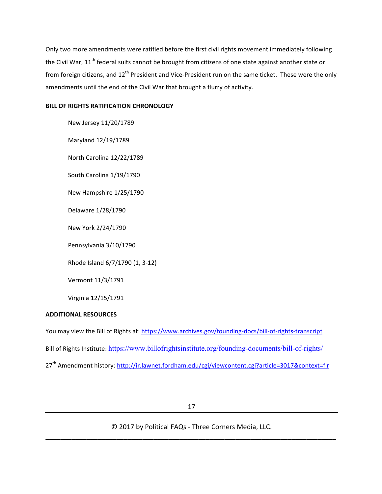Only two more amendments were ratified before the first civil rights movement immediately following the Civil War,  $11<sup>th</sup>$  federal suits cannot be brought from citizens of one state against another state or from foreign citizens, and 12<sup>th</sup> President and Vice-President run on the same ticket. These were the only amendments until the end of the Civil War that brought a flurry of activity.

#### **BILL OF RIGHTS RATIFICATION CHRONOLOGY**

New Jersey 11/20/1789

Maryland 12/19/1789

North Carolina 12/22/1789

South Carolina 1/19/1790

New Hampshire 1/25/1790

Delaware 1/28/1790

New York 2/24/1790

Pennsylvania 3/10/1790

Rhode Island 6/7/1790 (1, 3-12)

Vermont 11/3/1791

Virginia 12/15/1791

#### **ADDITIONAL RESOURCES**

You may view the Bill of Rights at: https://www.archives.gov/founding-docs/bill-of-rights-transcript Bill of Rights Institute: https://www.billofrightsinstitute.org/founding-documents/bill-of-rights/ 27<sup>th</sup> Amendment history: http://ir.lawnet.fordham.edu/cgi/viewcontent.cgi?article=3017&context=flr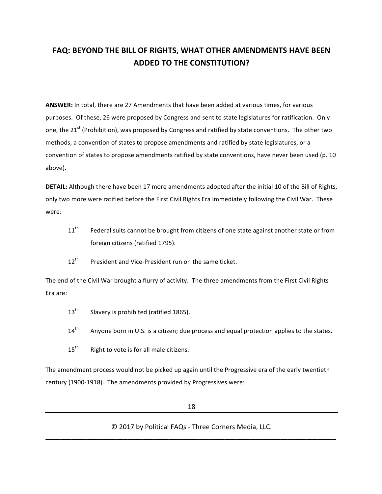#### **FAQ: BEYOND THE BILL OF RIGHTS, WHAT OTHER AMENDMENTS HAVE BEEN ADDED TO THE CONSTITUTION?**

ANSWER: In total, there are 27 Amendments that have been added at various times, for various purposes. Of these, 26 were proposed by Congress and sent to state legislatures for ratification. Only one, the 21<sup>st</sup> (Prohibition), was proposed by Congress and ratified by state conventions. The other two methods, a convention of states to propose amendments and ratified by state legislatures, or a convention of states to propose amendments ratified by state conventions, have never been used (p. 10 above).

**DETAIL:** Although there have been 17 more amendments adopted after the initial 10 of the Bill of Rights, only two more were ratified before the First Civil Rights Era immediately following the Civil War. These were:

- $11<sup>th</sup>$  Federal suits cannot be brought from citizens of one state against another state or from foreign citizens (ratified 1795).
- $12<sup>th</sup>$  President and Vice-President run on the same ticket.

The end of the Civil War brought a flurry of activity. The three amendments from the First Civil Rights Era are:

- $13<sup>th</sup>$  Slavery is prohibited (ratified 1865).
- $14<sup>th</sup>$  Anyone born in U.S. is a citizen; due process and equal protection applies to the states.
- $15<sup>th</sup>$  Right to vote is for all male citizens.

The amendment process would not be picked up again until the Progressive era of the early twentieth century (1900-1918). The amendments provided by Progressives were: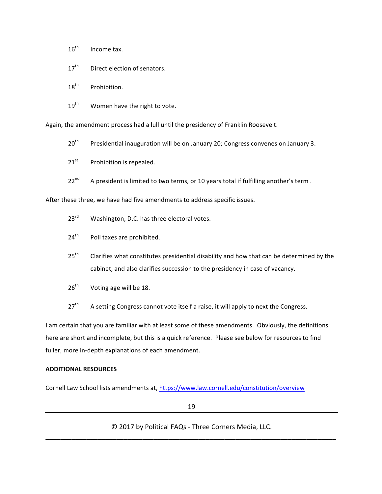- $16<sup>th</sup>$  Income tax.
- $17<sup>th</sup>$  Direct election of senators.
- 18<sup>th</sup> Prohibition.
- $19<sup>th</sup>$  Women have the right to vote.

Again, the amendment process had a lull until the presidency of Franklin Roosevelt.

 $20<sup>th</sup>$  Presidential inauguration will be on January 20; Congress convenes on January 3.

 $21<sup>st</sup>$  Prohibition is repealed.

 $22^{nd}$  A president is limited to two terms, or 10 years total if fulfilling another's term.

After these three, we have had five amendments to address specific issues.

- 23<sup>rd</sup> Washington, D.C. has three electoral votes.
- $24<sup>th</sup>$  Poll taxes are prohibited.
- $25<sup>th</sup>$  Clarifies what constitutes presidential disability and how that can be determined by the cabinet, and also clarifies succession to the presidency in case of vacancy.
- $26<sup>th</sup>$  Voting age will be 18.
- $27<sup>th</sup>$  A setting Congress cannot vote itself a raise, it will apply to next the Congress.

I am certain that you are familiar with at least some of these amendments. Obviously, the definitions here are short and incomplete, but this is a quick reference. Please see below for resources to find fuller, more in-depth explanations of each amendment.

#### **ADDITIONAL RESOURCES**

Cornell Law School lists amendments at, https://www.law.cornell.edu/constitution/overview

19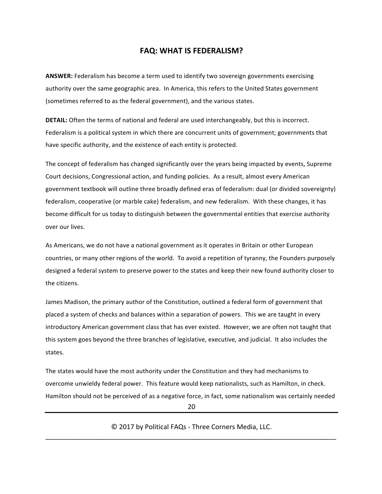#### **FAQ: WHAT IS FEDERALISM?**

**ANSWER:** Federalism has become a term used to identify two sovereign governments exercising authority over the same geographic area. In America, this refers to the United States government (sometimes referred to as the federal government), and the various states.

**DETAIL:** Often the terms of national and federal are used interchangeably, but this is incorrect. Federalism is a political system in which there are concurrent units of government; governments that have specific authority, and the existence of each entity is protected.

The concept of federalism has changed significantly over the years being impacted by events, Supreme Court decisions, Congressional action, and funding policies. As a result, almost every American government textbook will outline three broadly defined eras of federalism: dual (or divided sovereignty) federalism, cooperative (or marble cake) federalism, and new federalism. With these changes, it has become difficult for us today to distinguish between the governmental entities that exercise authority over our lives.

As Americans, we do not have a national government as it operates in Britain or other European countries, or many other regions of the world. To avoid a repetition of tyranny, the Founders purposely designed a federal system to preserve power to the states and keep their new found authority closer to the citizens.

James Madison, the primary author of the Constitution, outlined a federal form of government that placed a system of checks and balances within a separation of powers. This we are taught in every introductory American government class that has ever existed. However, we are often not taught that this system goes beyond the three branches of legislative, executive, and judicial. It also includes the states.

The states would have the most authority under the Constitution and they had mechanisms to overcome unwieldy federal power. This feature would keep nationalists, such as Hamilton, in check. Hamilton should not be perceived of as a negative force, in fact, some nationalism was certainly needed

20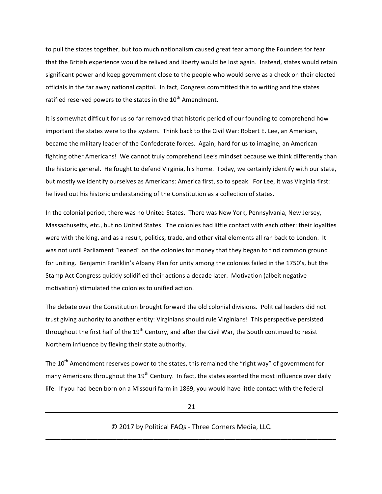to pull the states together, but too much nationalism caused great fear among the Founders for fear that the British experience would be relived and liberty would be lost again. Instead, states would retain significant power and keep government close to the people who would serve as a check on their elected officials in the far away national capitol. In fact, Congress committed this to writing and the states ratified reserved powers to the states in the  $10^{th}$  Amendment.

It is somewhat difficult for us so far removed that historic period of our founding to comprehend how important the states were to the system. Think back to the Civil War: Robert E. Lee, an American, became the military leader of the Confederate forces. Again, hard for us to imagine, an American fighting other Americans! We cannot truly comprehend Lee's mindset because we think differently than the historic general. He fought to defend Virginia, his home. Today, we certainly identify with our state, but mostly we identify ourselves as Americans: America first, so to speak. For Lee, it was Virginia first: he lived out his historic understanding of the Constitution as a collection of states.

In the colonial period, there was no United States. There was New York, Pennsylvania, New Jersey, Massachusetts, etc., but no United States. The colonies had little contact with each other: their loyalties were with the king, and as a result, politics, trade, and other vital elements all ran back to London. It was not until Parliament "leaned" on the colonies for money that they began to find common ground for uniting. Benjamin Franklin's Albany Plan for unity among the colonies failed in the 1750's, but the Stamp Act Congress quickly solidified their actions a decade later. Motivation (albeit negative motivation) stimulated the colonies to unified action.

The debate over the Constitution brought forward the old colonial divisions. Political leaders did not trust giving authority to another entity: Virginians should rule Virginians! This perspective persisted throughout the first half of the  $19^{th}$  Century, and after the Civil War, the South continued to resist Northern influence by flexing their state authority.

The  $10^{th}$  Amendment reserves power to the states, this remained the "right way" of government for many Americans throughout the 19<sup>th</sup> Century. In fact, the states exerted the most influence over daily life. If you had been born on a Missouri farm in 1869, you would have little contact with the federal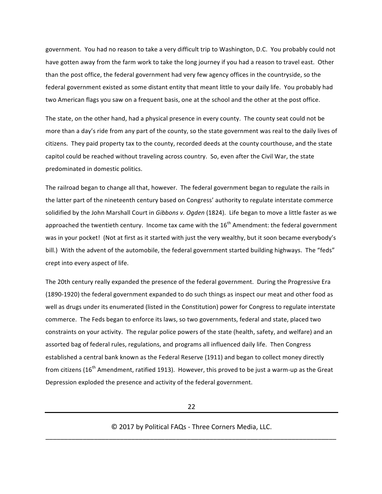government. You had no reason to take a very difficult trip to Washington, D.C. You probably could not have gotten away from the farm work to take the long journey if you had a reason to travel east. Other than the post office, the federal government had very few agency offices in the countryside, so the federal government existed as some distant entity that meant little to your daily life. You probably had two American flags you saw on a frequent basis, one at the school and the other at the post office.

The state, on the other hand, had a physical presence in every county. The county seat could not be more than a day's ride from any part of the county, so the state government was real to the daily lives of citizens. They paid property tax to the county, recorded deeds at the county courthouse, and the state capitol could be reached without traveling across country. So, even after the Civil War, the state predominated in domestic politics.

The railroad began to change all that, however. The federal government began to regulate the rails in the latter part of the nineteenth century based on Congress' authority to regulate interstate commerce solidified by the John Marshall Court in *Gibbons v. Ogden* (1824). Life began to move a little faster as we approached the twentieth century. Income tax came with the  $16^{th}$  Amendment: the federal government was in your pocket! (Not at first as it started with just the very wealthy, but it soon became everybody's bill.) With the advent of the automobile, the federal government started building highways. The "feds" crept into every aspect of life.

The 20th century really expanded the presence of the federal government. During the Progressive Era (1890-1920) the federal government expanded to do such things as inspect our meat and other food as well as drugs under its enumerated (listed in the Constitution) power for Congress to regulate interstate commerce. The Feds began to enforce its laws, so two governments, federal and state, placed two constraints on your activity. The regular police powers of the state (health, safety, and welfare) and an assorted bag of federal rules, regulations, and programs all influenced daily life. Then Congress established a central bank known as the Federal Reserve (1911) and began to collect money directly from citizens (16<sup>th</sup> Amendment, ratified 1913). However, this proved to be just a warm-up as the Great Depression exploded the presence and activity of the federal government.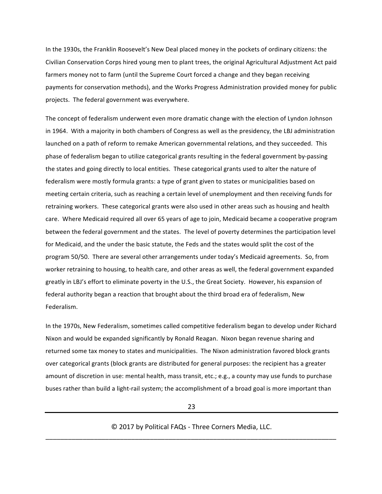In the 1930s, the Franklin Roosevelt's New Deal placed money in the pockets of ordinary citizens: the Civilian Conservation Corps hired young men to plant trees, the original Agricultural Adjustment Act paid farmers money not to farm (until the Supreme Court forced a change and they began receiving payments for conservation methods), and the Works Progress Administration provided money for public projects. The federal government was everywhere.

The concept of federalism underwent even more dramatic change with the election of Lyndon Johnson in 1964. With a majority in both chambers of Congress as well as the presidency, the LBJ administration launched on a path of reform to remake American governmental relations, and they succeeded. This phase of federalism began to utilize categorical grants resulting in the federal government by-passing the states and going directly to local entities. These categorical grants used to alter the nature of federalism were mostly formula grants: a type of grant given to states or municipalities based on meeting certain criteria, such as reaching a certain level of unemployment and then receiving funds for retraining workers. These categorical grants were also used in other areas such as housing and health care. Where Medicaid required all over 65 years of age to join, Medicaid became a cooperative program between the federal government and the states. The level of poverty determines the participation level for Medicaid, and the under the basic statute, the Feds and the states would split the cost of the program 50/50. There are several other arrangements under today's Medicaid agreements. So, from worker retraining to housing, to health care, and other areas as well, the federal government expanded greatly in LBJ's effort to eliminate poverty in the U.S., the Great Society. However, his expansion of federal authority began a reaction that brought about the third broad era of federalism, New Federalism.

In the 1970s, New Federalism, sometimes called competitive federalism began to develop under Richard Nixon and would be expanded significantly by Ronald Reagan. Nixon began revenue sharing and returned some tax money to states and municipalities. The Nixon administration favored block grants over categorical grants (block grants are distributed for general purposes: the recipient has a greater amount of discretion in use: mental health, mass transit, etc.; e.g., a county may use funds to purchase buses rather than build a light-rail system; the accomplishment of a broad goal is more important than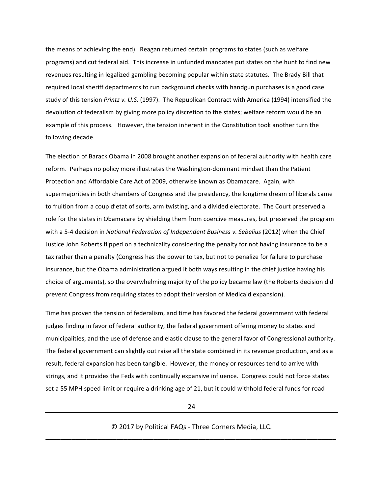the means of achieving the end). Reagan returned certain programs to states (such as welfare programs) and cut federal aid. This increase in unfunded mandates put states on the hunt to find new revenues resulting in legalized gambling becoming popular within state statutes. The Brady Bill that required local sheriff departments to run background checks with handgun purchases is a good case study of this tension *Printz v. U.S.* (1997). The Republican Contract with America (1994) intensified the devolution of federalism by giving more policy discretion to the states; welfare reform would be an example of this process. However, the tension inherent in the Constitution took another turn the following decade.

The election of Barack Obama in 2008 brought another expansion of federal authority with health care reform. Perhaps no policy more illustrates the Washington-dominant mindset than the Patient Protection and Affordable Care Act of 2009, otherwise known as Obamacare. Again, with supermajorities in both chambers of Congress and the presidency, the longtime dream of liberals came to fruition from a coup d'etat of sorts, arm twisting, and a divided electorate. The Court preserved a role for the states in Obamacare by shielding them from coercive measures, but preserved the program with a 5-4 decision in *National Federation of Independent Business v. Sebelius* (2012) when the Chief Justice John Roberts flipped on a technicality considering the penalty for not having insurance to be a tax rather than a penalty (Congress has the power to tax, but not to penalize for failure to purchase insurance, but the Obama administration argued it both ways resulting in the chief justice having his choice of arguments), so the overwhelming majority of the policy became law (the Roberts decision did prevent Congress from requiring states to adopt their version of Medicaid expansion).

Time has proven the tension of federalism, and time has favored the federal government with federal judges finding in favor of federal authority, the federal government offering money to states and municipalities, and the use of defense and elastic clause to the general favor of Congressional authority. The federal government can slightly out raise all the state combined in its revenue production, and as a result, federal expansion has been tangible. However, the money or resources tend to arrive with strings, and it provides the Feds with continually expansive influence. Congress could not force states set a 55 MPH speed limit or require a drinking age of 21, but it could withhold federal funds for road

24